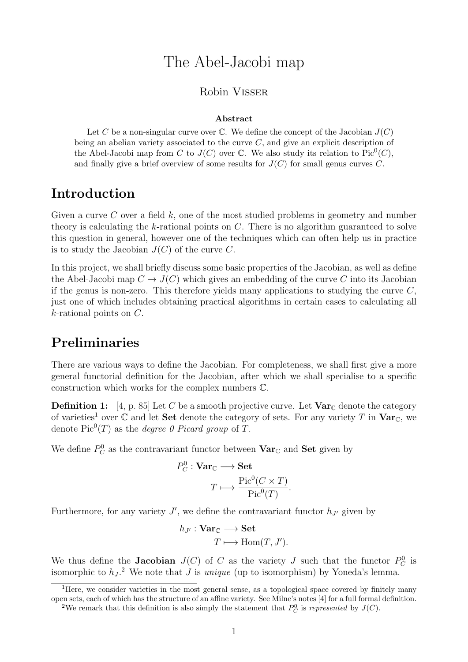# The Abel-Jacobi map

#### Robin Visser

#### Abstract

Let C be a non-singular curve over C. We define the concept of the Jacobian  $J(C)$ being an abelian variety associated to the curve  $C$ , and give an explicit description of the Abel-Jacobi map from C to  $J(C)$  over C. We also study its relation to  $Pic^0(C)$ , and finally give a brief overview of some results for  $J(C)$  for small genus curves C.

### Introduction

Given a curve C over a field  $k$ , one of the most studied problems in geometry and number theory is calculating the k-rational points on  $C$ . There is no algorithm guaranteed to solve this question in general, however one of the techniques which can often help us in practice is to study the Jacobian  $J(C)$  of the curve C.

In this project, we shall briefly discuss some basic properties of the Jacobian, as well as define the Abel-Jacobi map  $C \to J(C)$  which gives an embedding of the curve C into its Jacobian if the genus is non-zero. This therefore yields many applications to studying the curve  $C$ . just one of which includes obtaining practical algorithms in certain cases to calculating all k-rational points on C.

## Preliminaries

There are various ways to define the Jacobian. For completeness, we shall first give a more general functorial definition for the Jacobian, after which we shall specialise to a specific construction which works for the complex numbers C.

**Definition 1:** [4, p. 85] Let C be a smooth projective curve. Let  $\text{Var}_{\mathbb{C}}$  denote the category of varieties<sup>1</sup> over C and let **Set** denote the category of sets. For any variety T in  $\text{Var}_{\mathbb{C}}$ , we denote  $Pic^0(T)$  as the *degree 0 Picard group* of T.

We define  $P_C^0$  as the contravariant functor between  $\text{Var}_{\mathbb{C}}$  and  $\textbf{Set}$  given by

$$
P_C^0 : \mathbf{Var}_{\mathbb{C}} \longrightarrow \mathbf{Set}
$$

$$
T \longmapsto \frac{\text{Pic}^0(C \times T)}{\text{Pic}^0(T)}
$$

.

Furthermore, for any variety  $J'$ , we define the contravariant functor  $h_{J'}$  given by

$$
h_{J'}: \mathbf{Var}_{\mathbb{C}} \longrightarrow \mathbf{Set}
$$

$$
T \longmapsto \text{Hom}(T, J').
$$

We thus define the **Jacobian**  $J(C)$  of C as the variety J such that the functor  $P_C^0$  is isomorphic to  $h_J$ .<sup>2</sup> We note that J is *unique* (up to isomorphism) by Yoneda's lemma.

<sup>&</sup>lt;sup>1</sup>Here, we consider varieties in the most general sense, as a topological space covered by finitely many open sets, each of which has the structure of an affine variety. See Milne's notes [4] for a full formal definition.

<sup>&</sup>lt;sup>2</sup>We remark that this definition is also simply the statement that  $P_C^0$  is represented by  $J(C)$ .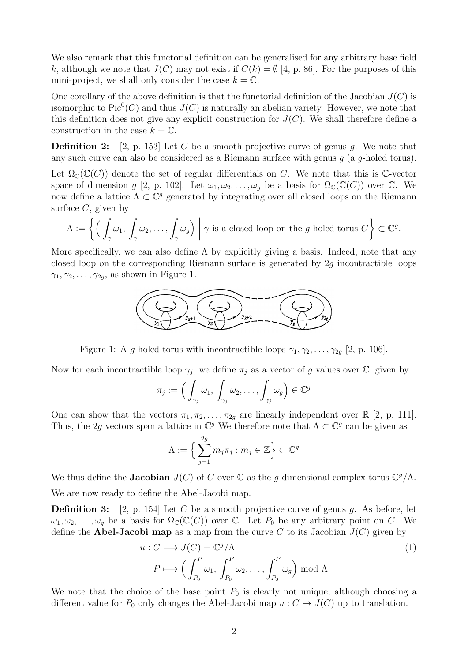We also remark that this functorial definition can be generalised for any arbitrary base field k, although we note that  $J(C)$  may not exist if  $C(k) = \emptyset$  [4, p. 86]. For the purposes of this mini-project, we shall only consider the case  $k = \mathbb{C}$ .

One corollary of the above definition is that the functorial definition of the Jacobian  $J(C)$  is isomorphic to  $Pic^0(C)$  and thus  $J(C)$  is naturally an abelian variety. However, we note that this definition does not give any explicit construction for  $J(C)$ . We shall therefore define a construction in the case  $k = \mathbb{C}$ .

**Definition 2:** [2, p. 153] Let C be a smooth projective curve of genus g. We note that any such curve can also be considered as a Riemann surface with genus  $g$  (a  $g$ -holed torus).

Let  $\Omega_{\mathbb{C}}(\mathbb{C}(C))$  denote the set of regular differentials on C. We note that this is C-vector space of dimension g [2, p. 102]. Let  $\omega_1, \omega_2, \ldots, \omega_q$  be a basis for  $\Omega_{\mathbb{C}}(\mathbb{C}(C))$  over  $\mathbb{C}$ . We now define a lattice  $\Lambda \subset \mathbb{C}^g$  generated by integrating over all closed loops on the Riemann surface  $C$ , given by

$$
\Lambda := \left\{ \left( \int_{\gamma} \omega_1, \int_{\gamma} \omega_2, \ldots, \int_{\gamma} \omega_g \right) \middle| \gamma \text{ is a closed loop on the } g\text{-holed torus } C \right\} \subset \mathbb{C}^g.
$$

More specifically, we can also define  $\Lambda$  by explicitly giving a basis. Indeed, note that any closed loop on the corresponding Riemann surface is generated by 2g incontractible loops  $\gamma_1, \gamma_2, \ldots, \gamma_{2g}$ , as shown in Figure 1.



Figure 1: A g-holed torus with incontractible loops  $\gamma_1, \gamma_2, \ldots, \gamma_{2g}$  [2, p. 106].

Now for each incontractible loop  $\gamma_j$ , we define  $\pi_j$  as a vector of g values over  $\mathbb{C}$ , given by

$$
\pi_j := \Big(\int_{\gamma_j} \omega_1, \int_{\gamma_j} \omega_2, \ldots, \int_{\gamma_j} \omega_g \Big) \in \mathbb{C}^g
$$

One can show that the vectors  $\pi_1, \pi_2, \ldots, \pi_{2g}$  are linearly independent over  $\mathbb{R}$  [2, p. 111]. Thus, the 2g vectors span a lattice in  $\mathbb{C}^g$  We therefore note that  $\Lambda \subset \mathbb{C}^g$  can be given as

$$
\Lambda := \Big\{ \sum_{j=1}^{2g} m_j \pi_j : m_j \in \mathbb{Z} \Big\} \subset \mathbb{C}^g
$$

We thus define the **Jacobian**  $J(C)$  of C over  $\mathbb C$  as the g-dimensional complex torus  $\mathbb C^g/\Lambda$ . We are now ready to define the Abel-Jacobi map.

**Definition 3:** [2, p. 154] Let C be a smooth projective curve of genus g. As before, let  $\omega_1, \omega_2, \ldots, \omega_q$  be a basis for  $\Omega_{\mathbb{C}}(\mathbb{C}(C))$  over C. Let  $P_0$  be any arbitrary point on C. We define the **Abel-Jacobi map** as a map from the curve C to its Jacobian  $J(C)$  given by

$$
u: C \longrightarrow J(C) = \mathbb{C}^g/\Lambda
$$
  
\n
$$
P \longmapsto \left(\int_{P_0}^P \omega_1, \int_{P_0}^P \omega_2, \dots, \int_{P_0}^P \omega_g\right) \mod \Lambda
$$
 (1)

We note that the choice of the base point  $P_0$  is clearly not unique, although choosing a different value for  $P_0$  only changes the Abel-Jacobi map  $u : C \to J(C)$  up to translation.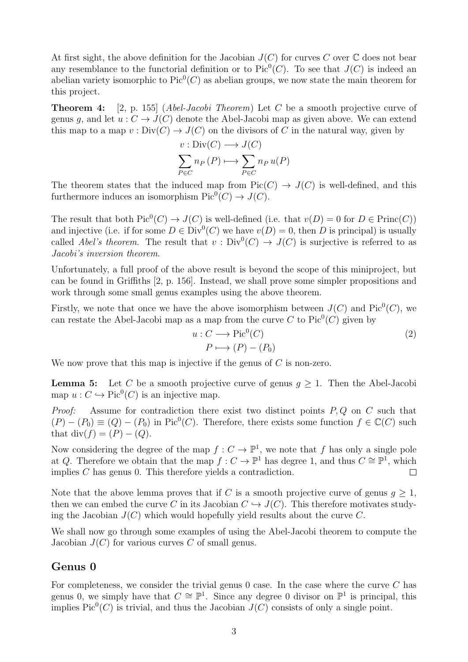At first sight, the above definition for the Jacobian  $J(C)$  for curves C over  $\mathbb C$  does not bear any resemblance to the functorial definition or to  $Pic^0(C)$ . To see that  $J(C)$  is indeed an abelian variety isomorphic to  $Pic^0(C)$  as abelian groups, we now state the main theorem for this project.

**Theorem 4:** [2, p. 155] (*Abel-Jacobi Theorem*) Let C be a smooth projective curve of genus q, and let  $u : C \to J(C)$  denote the Abel-Jacobi map as given above. We can extend this map to a map  $v : Div(C) \to J(C)$  on the divisors of C in the natural way, given by

$$
v: \text{Div}(C) \longrightarrow J(C)
$$

$$
\sum_{P \in C} n_P(P) \longmapsto \sum_{P \in C} n_P u(P)
$$

The theorem states that the induced map from  $Pic(C) \to J(C)$  is well-defined, and this furthermore induces an isomorphism  $Pic^0(C) \to J(C)$ .

The result that both  $Pic^0(C) \to J(C)$  is well-defined (i.e. that  $v(D) = 0$  for  $D \in \text{Princ}(C)$ ) and injective (i.e. if for some  $D \in Div^0(C)$  we have  $v(D) = 0$ , then D is principal) is usually called Abel's theorem. The result that  $v : Div^0(C) \to J(C)$  is surjective is referred to as Jacobi's inversion theorem.

Unfortunately, a full proof of the above result is beyond the scope of this miniproject, but can be found in Griffiths [2, p. 156]. Instead, we shall prove some simpler propositions and work through some small genus examples using the above theorem.

Firstly, we note that once we have the above isomorphism between  $J(C)$  and  $Pic^0(C)$ , we can restate the Abel-Jacobi map as a map from the curve C to  $Pic^0(C)$  given by

$$
u: C \longrightarrow Pic^{0}(C)
$$
  
\n
$$
P \longmapsto (P) - (P_{0})
$$
\n(2)

We now prove that this map is injective if the genus of  $C$  is non-zero.

**Lemma 5:** Let C be a smooth projective curve of genus  $g \geq 1$ . Then the Abel-Jacobi map  $u: C \hookrightarrow Pic^0(C)$  is an injective map.

*Proof:* Assume for contradiction there exist two distinct points  $P, Q$  on  $C$  such that  $(P) - (P_0) \equiv (Q) - (P_0)$  in Pic<sup>0</sup>(*C*). Therefore, there exists some function  $f \in \mathbb{C}(C)$  such that div $(f) = (P) - (Q)$ .

Now considering the degree of the map  $f: C \to \mathbb{P}^1$ , we note that f has only a single pole at Q. Therefore we obtain that the map  $f: C \to \mathbb{P}^1$  has degree 1, and thus  $C \cong \mathbb{P}^1$ , which implies C has genus 0. This therefore yields a contradiction.  $\Box$ 

Note that the above lemma proves that if C is a smooth projective curve of genus  $g \geq 1$ , then we can embed the curve C in its Jacobian  $C \hookrightarrow J(C)$ . This therefore motivates studying the Jacobian  $J(C)$  which would hopefully yield results about the curve C.

We shall now go through some examples of using the Abel-Jacobi theorem to compute the Jacobian  $J(C)$  for various curves C of small genus.

#### Genus 0

For completeness, we consider the trivial genus  $0$  case. In the case where the curve  $C$  has genus 0, we simply have that  $C \cong \mathbb{P}^1$ . Since any degree 0 divisor on  $\mathbb{P}^1$  is principal, this implies  $Pic^0(C)$  is trivial, and thus the Jacobian  $J(C)$  consists of only a single point.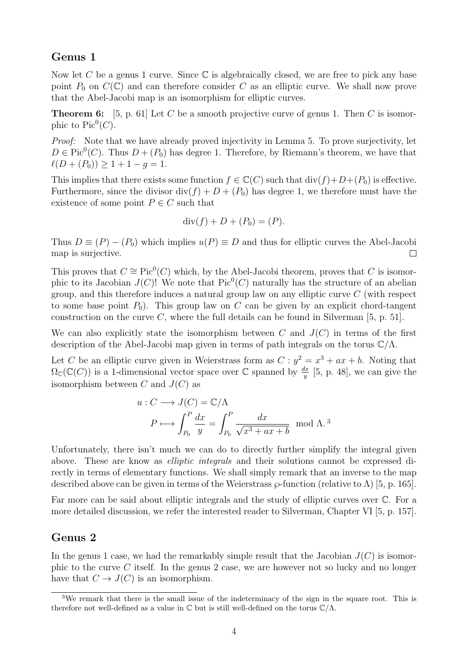#### Genus 1

Now let C be a genus 1 curve. Since  $\mathbb C$  is algebraically closed, we are free to pick any base point  $P_0$  on  $C(\mathbb{C})$  and can therefore consider C as an elliptic curve. We shall now prove that the Abel-Jacobi map is an isomorphism for elliptic curves.

**Theorem 6:** [5, p. 61] Let C be a smooth projective curve of genus 1. Then C is isomorphic to  $Pic^0(C)$ .

Proof: Note that we have already proved injectivity in Lemma 5. To prove surjectivity, let  $D \in Pic^0(C)$ . Thus  $D + (P_0)$  has degree 1. Therefore, by Riemann's theorem, we have that  $\ell(D + (P_0)) \geq 1 + 1 - g = 1.$ 

This implies that there exists some function  $f \in \mathbb{C}(C)$  such that  $\text{div}(f) + D + (P_0)$  is effective. Furthermore, since the divisor  $div(f) + D + (P_0)$  has degree 1, we therefore must have the existence of some point  $P \in C$  such that

$$
\operatorname{div}(f) + D + (P_0) = (P).
$$

Thus  $D \equiv (P) - (P_0)$  which implies  $u(P) \equiv D$  and thus for elliptic curves the Abel-Jacobi map is surjective.  $\Box$ 

This proves that  $C \cong Pic^0(C)$  which, by the Abel-Jacobi theorem, proves that C is isomorphic to its Jacobian  $J(C)$ ! We note that  $Pic^0(C)$  naturally has the structure of an abelian group, and this therefore induces a natural group law on any elliptic curve  $C$  (with respect to some base point  $P_0$ ). This group law on C can be given by an explicit chord-tangent construction on the curve  $C$ , where the full details can be found in Silverman [5, p. 51].

We can also explicitly state the isomorphism between C and  $J(C)$  in terms of the first description of the Abel-Jacobi map given in terms of path integrals on the torus  $\mathbb{C}/\Lambda$ .

Let C be an elliptic curve given in Weierstrass form as  $C: y^2 = x^3 + ax + b$ . Noting that  $\Omega_{\mathbb{C}}(\mathbb{C}(C))$  is a 1-dimensional vector space over  $\mathbb{C}$  spanned by  $\frac{dx}{y}$  [5, p. 48], we can give the isomorphism between C and  $J(C)$  as

$$
u: C \longrightarrow J(C) = \mathbb{C}/\Lambda
$$

$$
P \longmapsto \int_{P_0}^{P} \frac{dx}{y} = \int_{P_0}^{P} \frac{dx}{\sqrt{x^3 + ax + b}} \mod \Lambda^{3}
$$

Unfortunately, there isn't much we can do to directly further simplify the integral given above. These are know as *elliptic integrals* and their solutions cannot be expressed directly in terms of elementary functions. We shall simply remark that an inverse to the map described above can be given in terms of the Weierstrass  $\wp$ -function (relative to  $\Lambda$ ) [5, p. 165].

Far more can be said about elliptic integrals and the study of elliptic curves over  $\mathbb{C}$ . For a more detailed discussion, we refer the interested reader to Silverman, Chapter VI [5, p. 157].

### Genus 2

In the genus 1 case, we had the remarkably simple result that the Jacobian  $J(C)$  is isomorphic to the curve C itself. In the genus 2 case, we are however not so lucky and no longer have that  $C \to J(C)$  is an isomorphism.

<sup>3</sup>We remark that there is the small issue of the indeterminacy of the sign in the square root. This is therefore not well-defined as a value in  $\mathbb C$  but is still well-defined on the torus  $\mathbb C/\Lambda$ .